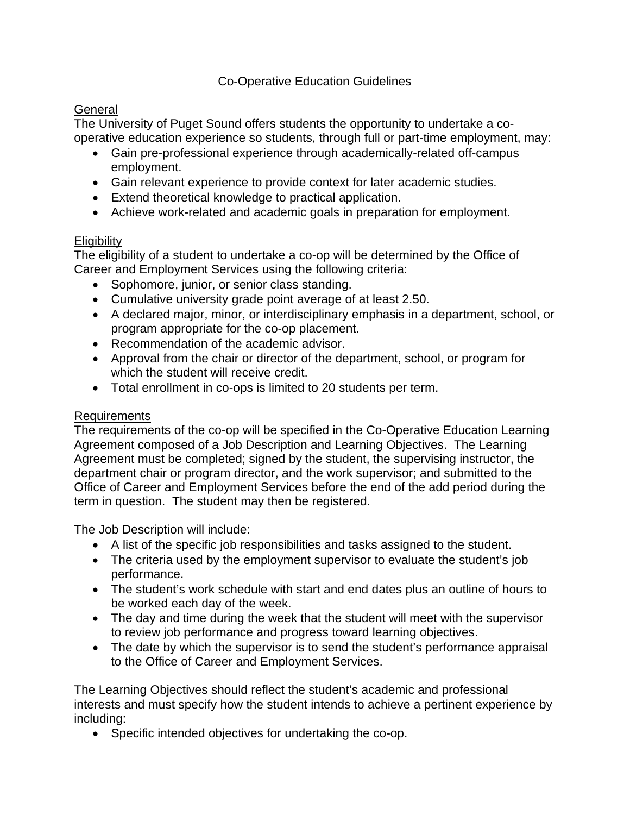### Co-Operative Education Guidelines

### **General**

The University of Puget Sound offers students the opportunity to undertake a cooperative education experience so students, through full or part-time employment, may:

- Gain pre-professional experience through academically-related off-campus employment.
- Gain relevant experience to provide context for later academic studies.
- Extend theoretical knowledge to practical application.
- Achieve work-related and academic goals in preparation for employment.

#### **Eligibility**

The eligibility of a student to undertake a co-op will be determined by the Office of Career and Employment Services using the following criteria:

- Sophomore, junior, or senior class standing.
- Cumulative university grade point average of at least 2.50.
- A declared major, minor, or interdisciplinary emphasis in a department, school, or program appropriate for the co-op placement.
- Recommendation of the academic advisor.
- Approval from the chair or director of the department, school, or program for which the student will receive credit.
- Total enrollment in co-ops is limited to 20 students per term.

#### Requirements

The requirements of the co-op will be specified in the Co-Operative Education Learning Agreement composed of a Job Description and Learning Objectives. The Learning Agreement must be completed; signed by the student, the supervising instructor, the department chair or program director, and the work supervisor; and submitted to the Office of Career and Employment Services before the end of the add period during the term in question. The student may then be registered.

The Job Description will include:

- A list of the specific job responsibilities and tasks assigned to the student.
- The criteria used by the employment supervisor to evaluate the student's job performance.
- The student's work schedule with start and end dates plus an outline of hours to be worked each day of the week.
- The day and time during the week that the student will meet with the supervisor to review job performance and progress toward learning objectives.
- The date by which the supervisor is to send the student's performance appraisal to the Office of Career and Employment Services.

The Learning Objectives should reflect the student's academic and professional interests and must specify how the student intends to achieve a pertinent experience by including:

• Specific intended objectives for undertaking the co-op.